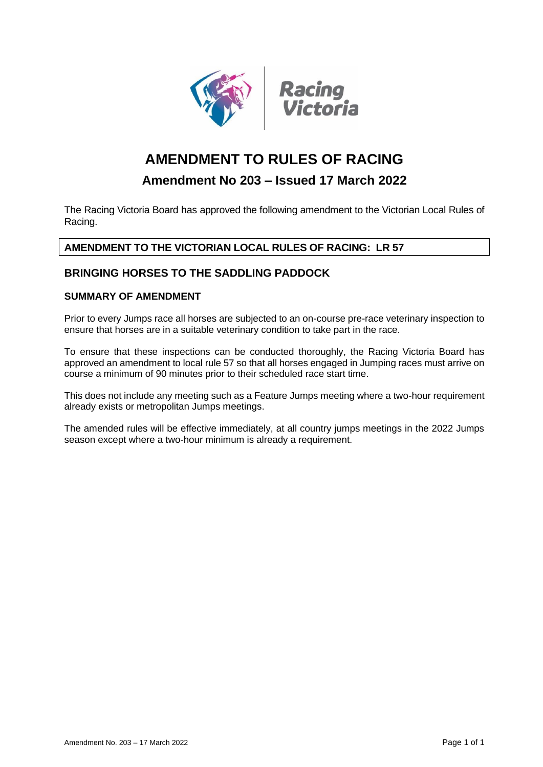

# **AMENDMENT TO RULES OF RACING**

## **Amendment No 203 – Issued 17 March 2022**

The Racing Victoria Board has approved the following amendment to the Victorian Local Rules of Racing.

### **AMENDMENT TO THE VICTORIAN LOCAL RULES OF RACING: LR 57**

#### **BRINGING HORSES TO THE SADDLING PADDOCK**

## **SUMMARY OF AMENDMENT**

Prior to every Jumps race all horses are subjected to an on-course pre-race veterinary inspection to ensure that horses are in a suitable veterinary condition to take part in the race.

To ensure that these inspections can be conducted thoroughly, the Racing Victoria Board has approved an amendment to local rule 57 so that all horses engaged in Jumping races must arrive on course a minimum of 90 minutes prior to their scheduled race start time.

This does not include any meeting such as a Feature Jumps meeting where a two-hour requirement already exists or metropolitan Jumps meetings.

The amended rules will be effective immediately, at all country jumps meetings in the 2022 Jumps season except where a two-hour minimum is already a requirement.